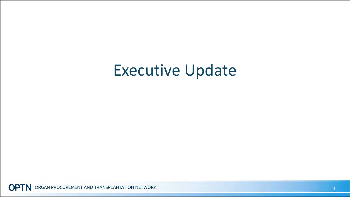### Executive Update

ORGAN PROCUREMENT AND TRANSPLANTATION NETWORK **OPTN**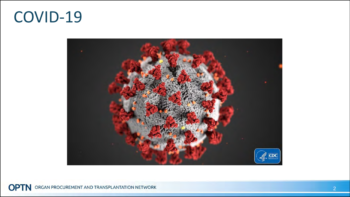#### COVID-19



**OPTN** ORGAN PROCUREMENT AND TRANSPLANTATION NETWORK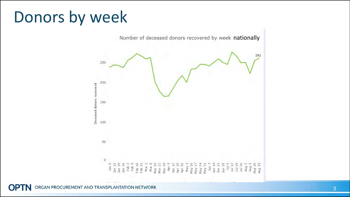## Donors by week



**OPTN** ORGAN PROCUREMENT AND TRANSPLANTATION NETWORK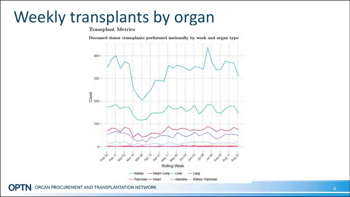# Weekly transplants by organ

Deceased donor transplants performed nationally by week and organ type



ORGAN PROCUREMENT AND TRANSPLANTATION NETWORK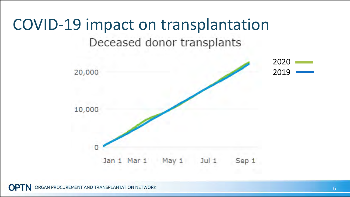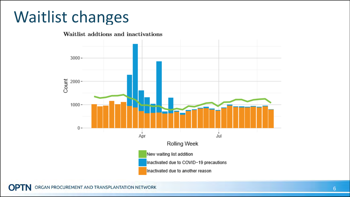### Waitlist changes



ORGAN PROCUREMENT AND TRANSPLANTATION NETWORK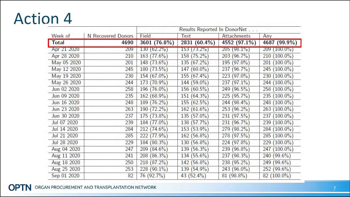### Action 4

|              | N Recovered Donors | Results Reported In DonorNet |                   |                    |                    |
|--------------|--------------------|------------------------------|-------------------|--------------------|--------------------|
| Week of      |                    | Field                        | <b>Text</b>       | <b>Attachments</b> | Any                |
| <b>Total</b> | 4690               | 3601 (76.8%)                 | 2831 (60.4%)      | 4552 (97.1%)       | 4687 (99.9%)       |
| Apr 21 2020  | 209                | $130(62.2\%)$                | $153(73.2\%)$     | $205(98.1\%)$      | 209 (100.0%)       |
| Apr 28 2020  | 210                | 163(77.6%)                   | 158 (75.2%)       | 203 (96.7%)        | $210(100.0\%)$     |
| May 05 2020  | 201                | $148(73.6\%)$                | $135(67.2\%)$     | $(97.0\%)$<br>195  | $(100.0\%)$<br>201 |
| May 12 2020  | 245                | $180(73.5\%)$                | $(60.0\%)$<br>147 | $(96.7\%)$<br>237  | 245 (100.0%)       |
| May 19 2020  | 230                | 154 (67.0%)                  | $155(67.4\%)$     | 223 (97.0%)        | 230 (100.0%)       |
| May 26 2020  | 244                | 173 (70.9%)                  | 144 (59.0%)       | $(97.1\%)$<br>237  | 244 (100.0%)       |
| Jun 02 2020  | 258                | $196(76.0\%)$                | $156(60.5\%)$     | $(96.5\%)$<br>249  | 258 (100.0%)       |
| Jun 09 2020  | 235                | $162(68.9\%)$                | 151 (64.3%)       | $(95.7\%)$<br>225  | 235 (100.0%)       |
| Jun 16 2020  | 248                | $189(76.2\%)$                | 155(62.5%)        | 244 (98.4%)        | 248 (100.0%)       |
| Jun 23 2020  | 263                | 190 (72.2%)                  | 162(61.6%)        | 253 (96.2%)        | 263 (100.0%)       |
| Jun 30 2020  | 237                | $175(73.8\%)$                | $135(57.0\%)$     | 231 (97.5%)        | 237 (100.0%)       |
| Jul 07 2020  | 239                | 184 (77.0%)                  | 138 (57.7%)       | $(96.7\%)$<br>231  | $(100.0\%)$<br>239 |
| Jul 14 2020  | 284                | $212(74.6\%)$                | 153 (53.9%)       | 279 (98.2%)        | 284 (100.0%)       |
| Jul 21 2020  | 285                | 222 (77.9%)                  | $162(56.8\%)$     | 278 (97.5%)        | 285 (100.0%)       |
| Jul 28 2020  | 229                | $184(80.3\%)$                | $130(56.8\%)$     | 224 (97.8%)        | 229 (100.0%)       |
| Aug 04 2020  | 247                | 209 (84.6%)                  | $139(56.3\%)$     | 239 (96.8%)        | $(100.0\%)$<br>247 |
| Aug 11 2020  | 241                | $208(86.3\%)$                | $134(55.6\%)$     | $(98.3\%)$<br>237  | $(99.6\%)$<br>240  |
| Aug 18 2020  | 250                | 218 (87.2%)                  | 142 (56.8%)       | 238 (95.2%)        | $(99.6\%)$<br>249  |
| Aug 25 2020  | 253                | $228(90.1\%)$                | 139 (54.9%)       | 243 (96.0%)        | $252(99.6\%)$      |
| Sep 01 2020  | 82                 | 76 (92.7%)                   | 43 $(52.4\%)$     | $81(98.8\%)$       | $82(100.0\%)$      |

**OPTN** ORGAN PROCUREMENT AND TRANSPLANTATION NETWORK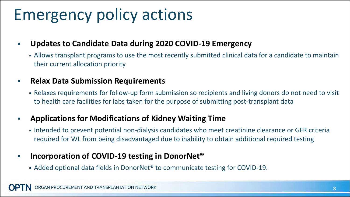## Emergency policy actions

#### **Updates to Candidate Data during 2020 COVID-19 Emergency**

 Allows transplant programs to use the most recently submitted clinical data for a candidate to maintain their current allocation priority

#### **Relax Data Submission Requirements**

 Relaxes requirements for follow-up form submission so recipients and living donors do not need to visit to health care facilities for labs taken for the purpose of submitting post-transplant data

#### **Applications for Modifications of Kidney Waiting Time**

Intended to prevent potential non-dialysis candidates who meet creatinine clearance or GFR criteria required for WL from being disadvantaged due to inability to obtain additional required testing

#### **Incorporation of COVID-19 testing in DonorNet<sup>®</sup>**

Added optional data fields in DonorNet® to communicate testing for COVID-19.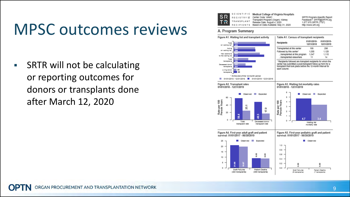### MPSC outcomes reviews

■ SRTR will not be calculating or reporting outcomes for donors or transplants done after March 12, 2020



Medical College of Virginia Hospitals Center Code: VAMC

Fransplant Program (Organ): Kidney Release Date: August 4, 2020 Based on Data Available: May 31, 2020 SRTR Program-Specific Report Feedback?: SRTR@SRTR.org 1.877.970.SRTR (7787) http://www.srtr.org

#### A. Program Summary

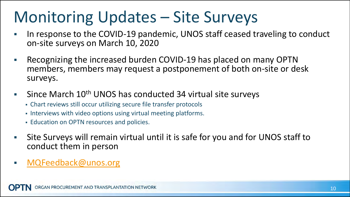## Monitoring Updates – Site Surveys

- In response to the COVID-19 pandemic, UNOS staff ceased traveling to conduct on-site surveys on March 10, 2020
- Recognizing the increased burden COVID-19 has placed on many OPTN members, members may request a postponement of both on-site or desk surveys.
- Since March 10<sup>th</sup> UNOS has conducted 34 virtual site surveys
	- Chart reviews still occur utilizing secure file transfer protocols
	- Interviews with video options using virtual meeting platforms.
	- Education on OPTN resources and policies.
- Site Surveys will remain virtual until it is safe for you and for UNOS staff to conduct them in person
- MQFeedback@unos.org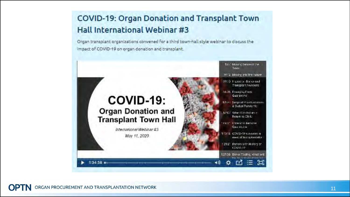#### **COVID-19: Organ Donation and Transplant Town Hall International Webinar #3**

Organ transplant organizations convened for a third town-hall style webinar to discuss the impact of COVID-19 on organ donation and transplant.

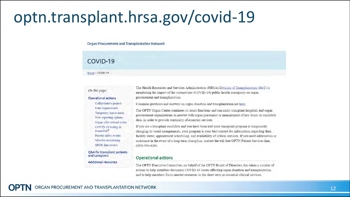### optn.transplant.hrsa.gov/covid-19

Organ Procurement and Transplantation Network

#### COVID-19

Home // COVID-19

#### On this page:

**Operational actions** 

Collaborative project

Temporary inactivation

New reporting options

COVID-19 testing in DonorNet<sup>®</sup>

Patient safety events

Member monitoring

SRTR data review

Organ offer refusal codes

Data requirements

The Health Resources and Services Administration (HRSA) Division of Transplantation (DoT) is monitoring the impact of the coronavirus (COVID-19) public health emergency on organ procurement and transplantation.

Common questions and answers on organ donation and transplantation are here.

The OPTN Organ Center continues its usual functions and can assist transplant hospitals and organ procurement organizations as needed with organ placement or management of key donor or candidate data, in order to provide continuity of essential services.

If you are a transplant candidate and you have been told your transplant program is temporarily changing its usual arrangements, your program is your best contact for information regarding their facility status, appointment scheduling, and availability of critical services. If you need information or assistance in the event of a long-term disruption, contact the toll-free OPTN Patient Services line,  $(888) 894 - 6361.$ 

#### Q&A for transplant patients and caregivers

**Additional resources** 

#### **Operational actions**

The OPTN Executive Committee, on behalf of the OPTN Board of Directors, has taken a number of actions to help members document COVID-19 issues affecting organ donation and transplantation and to help members focus needed resources in the short term on essential clinical services.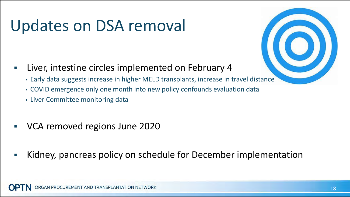## Updates on DSA removal

- **EXA)** Liver, intestine circles implemented on February 4
	- Early data suggests increase in higher MELD transplants, increase in travel distance
	- COVID emergence only one month into new policy confounds evaluation data
	- Liver Committee monitoring data
- VCA removed regions June 2020
- Kidney, pancreas policy on schedule for December implementation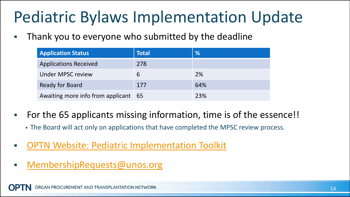## Pediatric Bylaws Implementation Update

Thank you to everyone who submitted by the deadline

| <b>Application Status</b>            | <b>Total</b> | %   |
|--------------------------------------|--------------|-----|
| <b>Applications Received</b>         | 278          |     |
| Under MPSC review                    | 6            | 2%  |
| <b>Ready for Board</b>               | 177          | 64% |
| Awaiting more info from applicant 65 |              | 23% |

- For the 65 applicants missing information, time is of the essence!!
	- The Board will act only on applications that have completed the MPSC review process.
- [OPTN Website: Pediatric Implementation Toolkit](https://optn.transplant.hrsa.gov/resources/pediatric-transplant/)
- MembershipRequests@unos.org